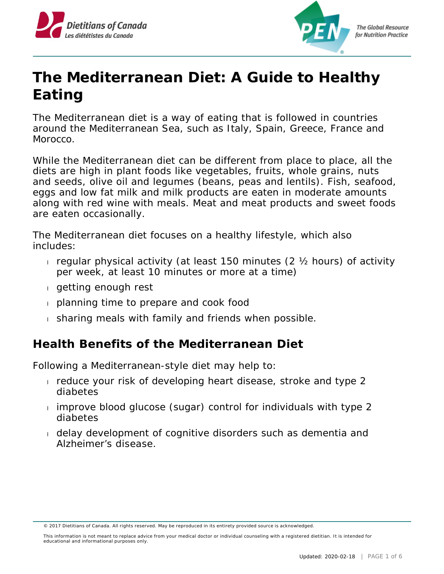



## **The Mediterranean Diet: A Guide to Healthy Eating**

The Mediterranean diet is a way of eating that is followed in countries around the Mediterranean Sea, such as Italy, Spain, Greece, France and Morocco.

While the Mediterranean diet can be different from place to place, all the diets are high in plant foods like vegetables, fruits, whole grains, nuts and seeds, olive oil and legumes (beans, peas and lentils). Fish, seafood, eggs and low fat milk and milk products are eaten in moderate amounts along with red wine with meals. Meat and meat products and sweet foods are eaten occasionally.

The Mediterranean diet focuses on a healthy lifestyle, which also includes:

- regular physical activity (at least 150 minutes  $(2 \times$  hours) of activity per week, at least 10 minutes or more at a time)
- getting enough rest
- planning time to prepare and cook food
- sharing meals with family and friends when possible.

## **Health Benefits of the Mediterranean Diet**

Following a Mediterranean-style diet may help to:

- reduce your risk of developing heart disease, stroke and type 2 diabetes
- $\frac{1}{1}$  improve blood glucose (sugar) control for individuals with type 2 diabetes
- delay development of cognitive disorders such as dementia and Alzheimer's disease.

This information is not meant to replace advice from your medical doctor or individual counseling with a registered dietitian. It is intended for educational and informational purposes only.

<sup>© 2017</sup> Dietitians of Canada. All rights reserved. May be reproduced in its entirety provided source is acknowledged.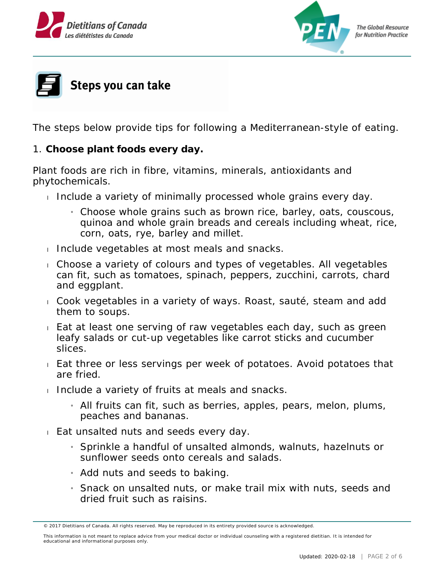





The steps below provide tips for following a Mediterranean-style of eating.

1. **Choose plant foods every day.** 

Plant foods are rich in fibre, vitamins, minerals, antioxidants and phytochemicals.

- Include a variety of minimally processed whole grains every day.
	- » Choose whole grains such as brown rice, barley, oats, couscous, quinoa and whole grain breads and cereals including wheat, rice, corn, oats, rye, barley and millet.
- Include vegetables at most meals and snacks.
- Choose a variety of colours and types of vegetables. All vegetables can fit, such as tomatoes, spinach, peppers, zucchini, carrots, chard and eggplant.
- Cook vegetables in a variety of ways. Roast, sauté, steam and add them to soups.
- Eat at least one serving of raw vegetables each day, such as green leafy salads or cut-up vegetables like carrot sticks and cucumber slices.
- Eat three or less servings per week of potatoes. Avoid potatoes that are fried.
- Include a variety of fruits at meals and snacks.
	- » All fruits can fit, such as berries, apples, pears, melon, plums, peaches and bananas.
- Eat unsalted nuts and seeds every day.
	- » Sprinkle a handful of unsalted almonds, walnuts, hazelnuts or sunflower seeds onto cereals and salads.
	- » Add nuts and seeds to baking.
	- » Snack on unsalted nuts, or make trail mix with nuts, seeds and dried fruit such as raisins.

<sup>© 2017</sup> Dietitians of Canada. All rights reserved. May be reproduced in its entirety provided source is acknowledged.

This information is not meant to replace advice from your medical doctor or individual counseling with a registered dietitian. It is intended for educational and informational purposes only.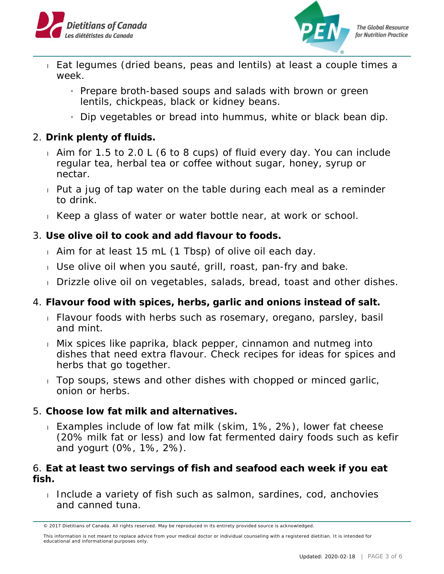



- Eat legumes (dried beans, peas and lentils) at least a couple times a week.
	- » Prepare broth-based soups and salads with brown or green lentils, chickpeas, black or kidney beans.
	- » Dip vegetables or bread into hummus, white or black bean dip.
- 2. **Drink plenty of fluids.**
	- Aim for 1.5 to 2.0 L (6 to 8 cups) of fluid every day. You can include regular tea, herbal tea or coffee without sugar, honey, syrup or nectar.
	- Put a jug of tap water on the table during each meal as a reminder to drink.
	- Keep a glass of water or water bottle near, at work or school.
- 3. **Use olive oil to cook and add flavour to foods.**
	- Aim for at least 15 mL (1 Tbsp) of olive oil each day.
	- Use olive oil when you sauté, grill, roast, pan-fry and bake.
	- Drizzle olive oil on vegetables, salads, bread, toast and other dishes.
- 4. **Flavour food with spices, herbs, garlic and onions instead of salt.**
	- Flavour foods with herbs such as rosemary, oregano, parsley, basil and mint.
	- Mix spices like paprika, black pepper, cinnamon and nutmeg into dishes that need extra flavour. Check recipes for ideas for spices and herbs that go together.
	- Top soups, stews and other dishes with chopped or minced garlic, onion or herbs.
- 5. **Choose low fat milk and alternatives.**
	- Examples include of low fat milk (skim, 1%, 2%), lower fat cheese (20% milk fat or less) and low fat fermented dairy foods such as kefir and yogurt (0%, 1%, 2%).

6. **Eat at least two servings of fish and seafood each week if you eat fish.**

Include a variety of fish such as salmon, sardines, cod, anchovies and canned tuna.

<sup>© 2017</sup> Dietitians of Canada. All rights reserved. May be reproduced in its entirety provided source is acknowledged.

This information is not meant to replace advice from your medical doctor or individual counseling with a registered dietitian. It is intended for educational and informational purposes only.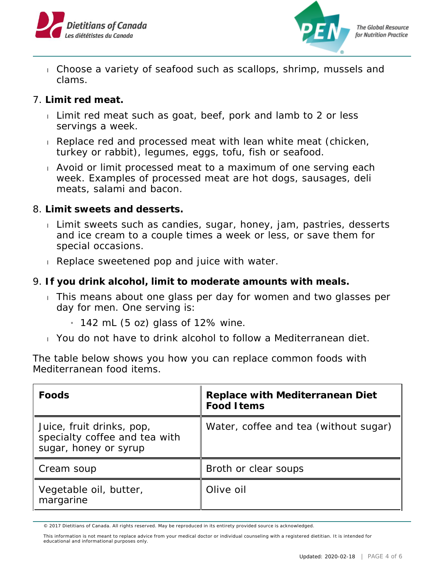



- Choose a variety of seafood such as scallops, shrimp, mussels and clams.
- 7. **Limit red meat.**
	- Limit red meat such as goat, beef, pork and lamb to 2 or less servings a week.
	- Replace red and processed meat with lean white meat (chicken, turkey or rabbit), legumes, eggs, tofu, fish or seafood.
	- Avoid or limit processed meat to a maximum of one serving each week. Examples of processed meat are hot dogs, sausages, deli meats, salami and bacon.
- 8. **Limit sweets and desserts.**
	- Limit sweets such as candies, sugar, honey, jam, pastries, desserts and ice cream to a couple times a week or less, or save them for special occasions.
	- Replace sweetened pop and juice with water.
- 9. **If you drink alcohol, limit to moderate amounts with meals.**
	- This means about one glass per day for women and two glasses per day for men. One serving is:
		- $_1$  142 mL (5 oz) glass of 12% wine.
	- You do not have to drink alcohol to follow a Mediterranean diet.

The table below shows you how you can replace common foods with Mediterranean food items.

| Foods                                                                               | Replace with Mediterranean Diet<br>Food I tems |
|-------------------------------------------------------------------------------------|------------------------------------------------|
| Juice, fruit drinks, pop,<br>specialty coffee and tea with<br>sugar, honey or syrup | Water, coffee and tea (without sugar)          |
| Cream soup                                                                          | Broth or clear soups                           |
| Vegetable oil, butter,<br>margarine                                                 | Olive oil                                      |

<sup>© 2017</sup> Dietitians of Canada. All rights reserved. May be reproduced in its entirety provided source is acknowledged.

This information is not meant to replace advice from your medical doctor or individual counseling with a registered dietitian. It is intended for educational and informational purposes only.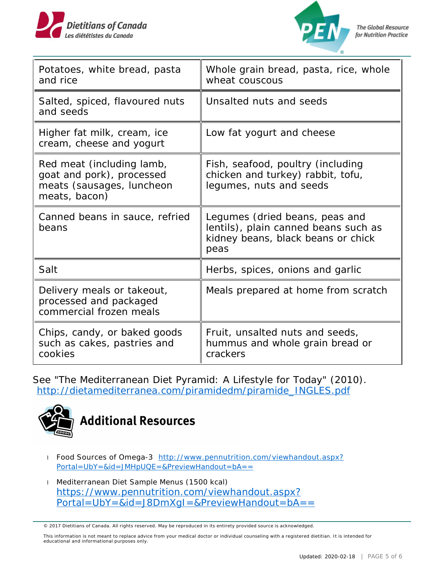



| Potatoes, white bread, pasta<br>and rice                                                             | Whole grain bread, pasta, rice, whole<br>wheat couscous                                                              |
|------------------------------------------------------------------------------------------------------|----------------------------------------------------------------------------------------------------------------------|
| Salted, spiced, flavoured nuts<br>and seeds                                                          | Unsalted nuts and seeds                                                                                              |
| Higher fat milk, cream, ice<br>cream, cheese and yogurt                                              | Low fat yogurt and cheese                                                                                            |
| Red meat (including lamb,<br>goat and pork), processed<br>meats (sausages, luncheon<br>meats, bacon) | Fish, seafood, poultry (including<br>chicken and turkey) rabbit, tofu,<br>legumes, nuts and seeds                    |
| Canned beans in sauce, refried<br>beans                                                              | Legumes (dried beans, peas and<br>lentils), plain canned beans such as<br>kidney beans, black beans or chick<br>peas |
| Salt                                                                                                 | Herbs, spices, onions and garlic                                                                                     |
| Delivery meals or takeout,<br>processed and packaged<br>commercial frozen meals                      | Meals prepared at home from scratch                                                                                  |
| Chips, candy, or baked goods<br>such as cakes, pastries and<br>cookies                               | Fruit, unsalted nuts and seeds,<br>hummus and whole grain bread or<br>crackers                                       |

See "The Mediterranean Diet Pyramid: A Lifestyle for Today" (2010). [http://dietamediterranea.com/piramidedm/piramide\\_INGLES.pdf](http://dietamediterranea.com/piramidedm/piramide_INGLES.pdf)



- Food Sources of Omega-3 [http://www.pennutrition.com/viewhandout.aspx?](http://www.pennutrition.com/viewhandout.aspx?Portal=UbY=&id=JMHpUQE=&PreviewHandout=bA==) [Portal=UbY=&id=JMHpUQE=&PreviewHandout=bA==](http://www.pennutrition.com/viewhandout.aspx?Portal=UbY=&id=JMHpUQE=&PreviewHandout=bA==)
- Mediterranean Diet Sample Menus (1500 kcal) . [https://www.pennutrition.com/viewhandout.aspx?](https://www.pennutrition.com/viewhandout.aspx?Portal=UbY=&id=J8DmXgI=&PreviewHandout=bA==) [Portal=UbY=&id=J8DmXgI=&PreviewHandout=bA==](https://www.pennutrition.com/viewhandout.aspx?Portal=UbY=&id=J8DmXgI=&PreviewHandout=bA==)

This information is not meant to replace advice from your medical doctor or individual counseling with a registered dietitian. It is intended for educational and informational purposes only.

<sup>© 2017</sup> Dietitians of Canada. All rights reserved. May be reproduced in its entirety provided source is acknowledged.